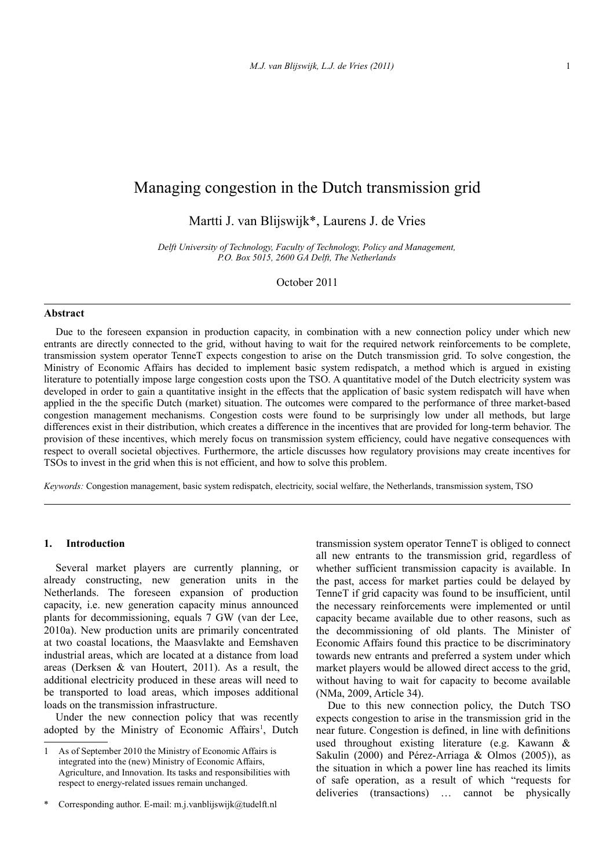# Managing congestion in the Dutch transmission grid

Martti J. van Blijswijk\*, Laurens J. de Vries

*Delft University of Technology, Faculty of Technology, Policy and Management, P.O. Box 5015, 2600 GA Delft, The Netherlands*

October 2011

#### **Abstract**

Due to the foreseen expansion in production capacity, in combination with a new connection policy under which new entrants are directly connected to the grid, without having to wait for the required network reinforcements to be complete, transmission system operator TenneT expects congestion to arise on the Dutch transmission grid. To solve congestion, the Ministry of Economic Affairs has decided to implement basic system redispatch, a method which is argued in existing literature to potentially impose large congestion costs upon the TSO. A quantitative model of the Dutch electricity system was developed in order to gain a quantitative insight in the effects that the application of basic system redispatch will have when applied in the the specific Dutch (market) situation. The outcomes were compared to the performance of three market-based congestion management mechanisms. Congestion costs were found to be surprisingly low under all methods, but large differences exist in their distribution, which creates a difference in the incentives that are provided for long-term behavior. The provision of these incentives, which merely focus on transmission system efficiency, could have negative consequences with respect to overall societal objectives. Furthermore, the article discusses how regulatory provisions may create incentives for TSOs to invest in the grid when this is not efficient, and how to solve this problem.

*Keywords:* Congestion management, basic system redispatch, electricity, social welfare, the Netherlands, transmission system, TSO

#### **1. Introduction**

Several market players are currently planning, or already constructing, new generation units in the Netherlands. The foreseen expansion of production capacity, i.e. new generation capacity minus announced plants for decommissioning, equals 7 GW (van der Lee, 2010a). New production units are primarily concentrated at two coastal locations, the Maasvlakte and Eemshaven industrial areas, which are located at a distance from load areas (Derksen & van Houtert, 2011). As a result, the additional electricity produced in these areas will need to be transported to load areas, which imposes additional loads on the transmission infrastructure.

Under the new connection policy that was recently adopted by the Ministry of Economic Affairs<sup>[1](#page-0-0)</sup>, Dutch

transmission system operator TenneT is obliged to connect all new entrants to the transmission grid, regardless of whether sufficient transmission capacity is available. In the past, access for market parties could be delayed by TenneT if grid capacity was found to be insufficient, until the necessary reinforcements were implemented or until capacity became available due to other reasons, such as the decommissioning of old plants. The Minister of Economic Affairs found this practice to be discriminatory towards new entrants and preferred a system under which market players would be allowed direct access to the grid, without having to wait for capacity to become available (NMa, 2009, Article 34).

Due to this new connection policy, the Dutch TSO expects congestion to arise in the transmission grid in the near future. Congestion is defined, in line with definitions used throughout existing literature (e.g. Kawann & Sakulin (2000) and Pérez-Arriaga & Olmos (2005)), as the situation in which a power line has reached its limits of safe operation, as a result of which "requests for deliveries (transactions) … cannot be physically

<span id="page-0-0"></span><sup>1</sup> As of September 2010 the Ministry of Economic Affairs is integrated into the (new) Ministry of Economic Affairs, Agriculture, and Innovation. Its tasks and responsibilities with respect to energy-related issues remain unchanged.

<sup>\*</sup> Corresponding author. E-mail: m.j.vanblijswijk@tudelft.nl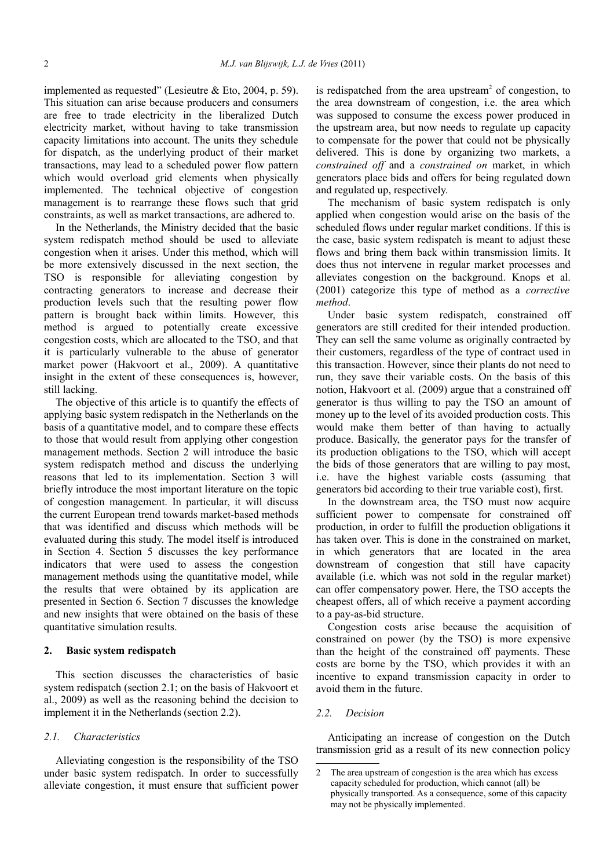implemented as requested" (Lesieutre & Eto, 2004, p. 59). This situation can arise because producers and consumers are free to trade electricity in the liberalized Dutch electricity market, without having to take transmission capacity limitations into account. The units they schedule for dispatch, as the underlying product of their market transactions, may lead to a scheduled power flow pattern which would overload grid elements when physically implemented. The technical objective of congestion management is to rearrange these flows such that grid constraints, as well as market transactions, are adhered to.

In the Netherlands, the Ministry decided that the basic system redispatch method should be used to alleviate congestion when it arises. Under this method, which will be more extensively discussed in the next section, the TSO is responsible for alleviating congestion by contracting generators to increase and decrease their production levels such that the resulting power flow pattern is brought back within limits. However, this method is argued to potentially create excessive congestion costs, which are allocated to the TSO, and that it is particularly vulnerable to the abuse of generator market power (Hakvoort et al., 2009). A quantitative insight in the extent of these consequences is, however, still lacking.

The objective of this article is to quantify the effects of applying basic system redispatch in the Netherlands on the basis of a quantitative model, and to compare these effects to those that would result from applying other congestion management methods. Section [2](#page-1-0) will introduce the basic system redispatch method and discuss the underlying reasons that led to its implementation. Section [3](#page-2-0) will briefly introduce the most important literature on the topic of congestion management. In particular, it will discuss the current European trend towards market-based methods that was identified and discuss which methods will be evaluated during this study. The model itself is introduced in Section [4.](#page-3-0) Section [5](#page-5-0) discusses the key performance indicators that were used to assess the congestion management methods using the quantitative model, while the results that were obtained by its application are presented in Section [6.](#page-6-0) Section [7](#page-8-0) discusses the knowledge and new insights that were obtained on the basis of these quantitative simulation results.

# <span id="page-1-0"></span>**2. Basic system redispatch**

This section discusses the characteristics of basic system redispatch (section [2.1;](#page-1-2) on the basis of Hakvoort et al., 2009) as well as the reasoning behind the decision to implement it in the Netherlands (section [2.2\)](#page-1-1).

#### <span id="page-1-2"></span>*2.1. Characteristics*

Alleviating congestion is the responsibility of the TSO under basic system redispatch. In order to successfully alleviate congestion, it must ensure that sufficient power

is redispatched from the area upstream<sup>[2](#page-1-3)</sup> of congestion, to the area downstream of congestion, i.e. the area which was supposed to consume the excess power produced in the upstream area, but now needs to regulate up capacity to compensate for the power that could not be physically delivered. This is done by organizing two markets, a *constrained off* and a *constrained on* market, in which generators place bids and offers for being regulated down and regulated up, respectively.

The mechanism of basic system redispatch is only applied when congestion would arise on the basis of the scheduled flows under regular market conditions. If this is the case, basic system redispatch is meant to adjust these flows and bring them back within transmission limits. It does thus not intervene in regular market processes and alleviates congestion on the background. Knops et al. (2001) categorize this type of method as a *corrective method*.

Under basic system redispatch, constrained off generators are still credited for their intended production. They can sell the same volume as originally contracted by their customers, regardless of the type of contract used in this transaction. However, since their plants do not need to run, they save their variable costs. On the basis of this notion, Hakvoort et al. (2009) argue that a constrained off generator is thus willing to pay the TSO an amount of money up to the level of its avoided production costs. This would make them better of than having to actually produce. Basically, the generator pays for the transfer of its production obligations to the TSO, which will accept the bids of those generators that are willing to pay most, i.e. have the highest variable costs (assuming that generators bid according to their true variable cost), first.

In the downstream area, the TSO must now acquire sufficient power to compensate for constrained off production, in order to fulfill the production obligations it has taken over. This is done in the constrained on market, in which generators that are located in the area downstream of congestion that still have capacity available (i.e. which was not sold in the regular market) can offer compensatory power. Here, the TSO accepts the cheapest offers, all of which receive a payment according to a pay-as-bid structure.

Congestion costs arise because the acquisition of constrained on power (by the TSO) is more expensive than the height of the constrained off payments. These costs are borne by the TSO, which provides it with an incentive to expand transmission capacity in order to avoid them in the future.

#### <span id="page-1-1"></span>*2.2. Decision*

Anticipating an increase of congestion on the Dutch transmission grid as a result of its new connection policy

<span id="page-1-3"></span><sup>2</sup> The area upstream of congestion is the area which has excess capacity scheduled for production, which cannot (all) be physically transported. As a consequence, some of this capacity may not be physically implemented.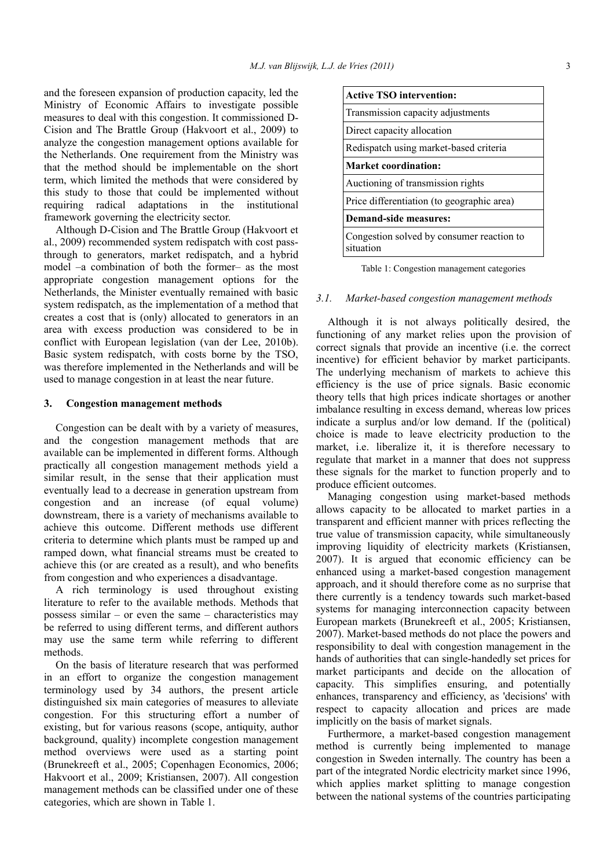and the foreseen expansion of production capacity, led the Ministry of Economic Affairs to investigate possible measures to deal with this congestion. It commissioned D-Cision and The Brattle Group (Hakvoort et al., 2009) to analyze the congestion management options available for the Netherlands. One requirement from the Ministry was that the method should be implementable on the short term, which limited the methods that were considered by this study to those that could be implemented without requiring radical adaptations in the institutional framework governing the electricity sector.

Although D-Cision and The Brattle Group (Hakvoort et al., 2009) recommended system redispatch with cost passthrough to generators, market redispatch, and a hybrid model –a combination of both the former– as the most appropriate congestion management options for the Netherlands, the Minister eventually remained with basic system redispatch, as the implementation of a method that creates a cost that is (only) allocated to generators in an area with excess production was considered to be in conflict with European legislation (van der Lee, 2010b). Basic system redispatch, with costs borne by the TSO, was therefore implemented in the Netherlands and will be used to manage congestion in at least the near future.

#### <span id="page-2-0"></span>**3. Congestion management methods**

Congestion can be dealt with by a variety of measures, and the congestion management methods that are available can be implemented in different forms. Although practically all congestion management methods yield a similar result, in the sense that their application must eventually lead to a decrease in generation upstream from congestion and an increase (of equal volume) downstream, there is a variety of mechanisms available to achieve this outcome. Different methods use different criteria to determine which plants must be ramped up and ramped down, what financial streams must be created to achieve this (or are created as a result), and who benefits from congestion and who experiences a disadvantage.

A rich terminology is used throughout existing literature to refer to the available methods. Methods that possess similar – or even the same – characteristics may be referred to using different terms, and different authors may use the same term while referring to different methods.

On the basis of literature research that was performed in an effort to organize the congestion management terminology used by 34 authors, the present article distinguished six main categories of measures to alleviate congestion. For this structuring effort a number of existing, but for various reasons (scope, antiquity, author background, quality) incomplete congestion management method overviews were used as a starting point (Brunekreeft et al., 2005; Copenhagen Economics, 2006; Hakvoort et al., 2009; Kristiansen, 2007). All congestion management methods can be classified under one of these categories, which are shown in [Table 1.](#page-2-1)

| <b>Active TSO intervention:</b>                        |
|--------------------------------------------------------|
| Transmission capacity adjustments                      |
| Direct capacity allocation                             |
| Redispatch using market-based criteria                 |
| <b>Market coordination:</b>                            |
| Auctioning of transmission rights                      |
| Price differentiation (to geographic area)             |
| Demand-side measures:                                  |
| Congestion solved by consumer reaction to<br>situation |

<span id="page-2-1"></span>Table 1: Congestion management categories

# <span id="page-2-2"></span>*3.1. Market-based congestion management methods*

Although it is not always politically desired, the functioning of any market relies upon the provision of correct signals that provide an incentive (i.e. the correct incentive) for efficient behavior by market participants. The underlying mechanism of markets to achieve this efficiency is the use of price signals. Basic economic theory tells that high prices indicate shortages or another imbalance resulting in excess demand, whereas low prices indicate a surplus and/or low demand. If the (political) choice is made to leave electricity production to the market, i.e. liberalize it, it is therefore necessary to regulate that market in a manner that does not suppress these signals for the market to function properly and to produce efficient outcomes.

Managing congestion using market-based methods allows capacity to be allocated to market parties in a transparent and efficient manner with prices reflecting the true value of transmission capacity, while simultaneously improving liquidity of electricity markets (Kristiansen, 2007). It is argued that economic efficiency can be enhanced using a market-based congestion management approach, and it should therefore come as no surprise that there currently is a tendency towards such market-based systems for managing interconnection capacity between European markets (Brunekreeft et al., 2005; Kristiansen, 2007). Market-based methods do not place the powers and responsibility to deal with congestion management in the hands of authorities that can single-handedly set prices for market participants and decide on the allocation of capacity. This simplifies ensuring, and potentially enhances, transparency and efficiency, as 'decisions' with respect to capacity allocation and prices are made implicitly on the basis of market signals.

Furthermore, a market-based congestion management method is currently being implemented to manage congestion in Sweden internally. The country has been a part of the integrated Nordic electricity market since 1996, which applies market splitting to manage congestion between the national systems of the countries participating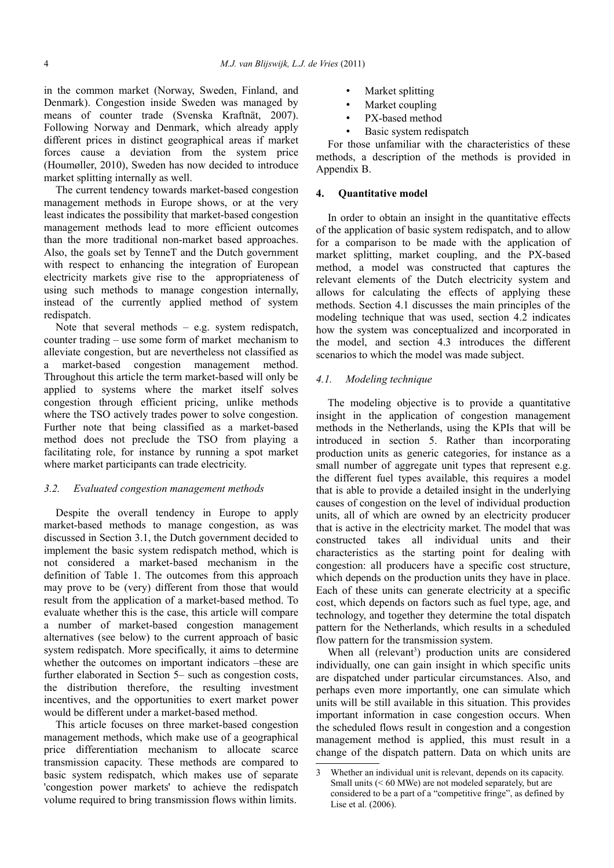in the common market (Norway, Sweden, Finland, and Denmark). Congestion inside Sweden was managed by means of counter trade (Svenska Kraftnät, 2007). Following Norway and Denmark, which already apply different prices in distinct geographical areas if market forces cause a deviation from the system price (Houmøller, 2010), Sweden has now decided to introduce market splitting internally as well.

The current tendency towards market-based congestion management methods in Europe shows, or at the very least indicates the possibility that market-based congestion management methods lead to more efficient outcomes than the more traditional non-market based approaches. Also, the goals set by TenneT and the Dutch government with respect to enhancing the integration of European electricity markets give rise to the appropriateness of using such methods to manage congestion internally, instead of the currently applied method of system redispatch.

Note that several methods  $-$  e.g. system redispatch, counter trading – use some form of market mechanism to alleviate congestion, but are nevertheless not classified as a market-based congestion management method. Throughout this article the term market-based will only be applied to systems where the market itself solves congestion through efficient pricing, unlike methods where the TSO actively trades power to solve congestion. Further note that being classified as a market-based method does not preclude the TSO from playing a facilitating role, for instance by running a spot market where market participants can trade electricity.

## *3.2. Evaluated congestion management methods*

Despite the overall tendency in Europe to apply market-based methods to manage congestion, as was discussed in Section [3.1,](#page-2-2) the Dutch government decided to implement the basic system redispatch method, which is not considered a market-based mechanism in the definition of [Table 1.](#page-2-1) The outcomes from this approach may prove to be (very) different from those that would result from the application of a market-based method. To evaluate whether this is the case, this article will compare a number of market-based congestion management alternatives (see below) to the current approach of basic system redispatch. More specifically, it aims to determine whether the outcomes on important indicators –these are further elaborated in Section [5–](#page-5-0) such as congestion costs, the distribution therefore, the resulting investment incentives, and the opportunities to exert market power would be different under a market-based method.

This article focuses on three market-based congestion management methods, which make use of a geographical price differentiation mechanism to allocate scarce transmission capacity. These methods are compared to basic system redispatch, which makes use of separate 'congestion power markets' to achieve the redispatch volume required to bring transmission flows within limits.

- Market splitting
- Market coupling
- PX-based method
- Basic system redispatch

For those unfamiliar with the characteristics of these methods, a description of the methods is provided in Appendix B.

#### <span id="page-3-0"></span>**4. Quantitative model**

In order to obtain an insight in the quantitative effects of the application of basic system redispatch, and to allow for a comparison to be made with the application of market splitting, market coupling, and the PX-based method, a model was constructed that captures the relevant elements of the Dutch electricity system and allows for calculating the effects of applying these methods. Section [4.1](#page-3-1) discusses the main principles of the modeling technique that was used, section [4.2](#page-4-1) indicates how the system was conceptualized and incorporated in the model, and section [4.3](#page-4-0) introduces the different scenarios to which the model was made subject.

# <span id="page-3-1"></span>*4.1. Modeling technique*

The modeling objective is to provide a quantitative insight in the application of congestion management methods in the Netherlands, using the KPIs that will be introduced in section [5.](#page-5-0) Rather than incorporating production units as generic categories, for instance as a small number of aggregate unit types that represent e.g. the different fuel types available, this requires a model that is able to provide a detailed insight in the underlying causes of congestion on the level of individual production units, all of which are owned by an electricity producer that is active in the electricity market. The model that was constructed takes all individual units and their characteristics as the starting point for dealing with congestion: all producers have a specific cost structure, which depends on the production units they have in place. Each of these units can generate electricity at a specific cost, which depends on factors such as fuel type, age, and technology, and together they determine the total dispatch pattern for the Netherlands, which results in a scheduled flow pattern for the transmission system.

When all (relevant<sup>[3](#page-3-2)</sup>) production units are considered individually, one can gain insight in which specific units are dispatched under particular circumstances. Also, and perhaps even more importantly, one can simulate which units will be still available in this situation. This provides important information in case congestion occurs. When the scheduled flows result in congestion and a congestion management method is applied, this must result in a change of the dispatch pattern. Data on which units are

<span id="page-3-2"></span><sup>3</sup> Whether an individual unit is relevant, depends on its capacity. Small units (< 60 MWe) are not modeled separately, but are considered to be a part of a "competitive fringe", as defined by Lise et al. (2006).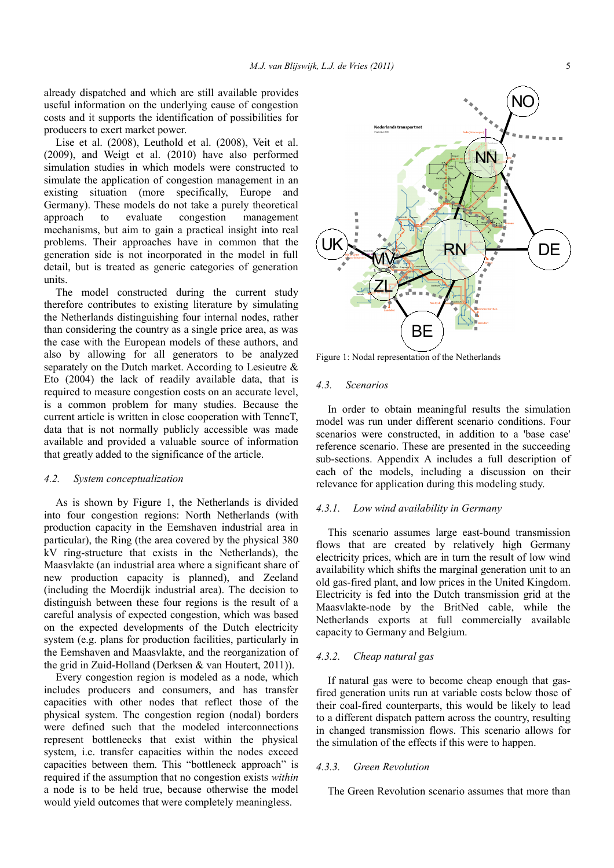already dispatched and which are still available provides useful information on the underlying cause of congestion costs and it supports the identification of possibilities for producers to exert market power.

Lise et al. (2008), Leuthold et al. (2008), Veit et al. (2009), and Weigt et al. (2010) have also performed simulation studies in which models were constructed to simulate the application of congestion management in an existing situation (more specifically, Europe and Germany). These models do not take a purely theoretical approach to evaluate congestion management mechanisms, but aim to gain a practical insight into real problems. Their approaches have in common that the generation side is not incorporated in the model in full detail, but is treated as generic categories of generation units.

The model constructed during the current study therefore contributes to existing literature by simulating the Netherlands distinguishing four internal nodes, rather than considering the country as a single price area, as was the case with the European models of these authors, and also by allowing for all generators to be analyzed separately on the Dutch market. According to Lesieutre & Eto (2004) the lack of readily available data, that is required to measure congestion costs on an accurate level, is a common problem for many studies. Because the current article is written in close cooperation with TenneT, data that is not normally publicly accessible was made available and provided a valuable source of information that greatly added to the significance of the article.

# <span id="page-4-1"></span>*4.2. System conceptualization*

As is shown by [Figure 1,](#page-4-2) the Netherlands is divided into four congestion regions: North Netherlands (with production capacity in the Eemshaven industrial area in particular), the Ring (the area covered by the physical 380 kV ring-structure that exists in the Netherlands), the Maasvlakte (an industrial area where a significant share of new production capacity is planned), and Zeeland (including the Moerdijk industrial area). The decision to distinguish between these four regions is the result of a careful analysis of expected congestion, which was based on the expected developments of the Dutch electricity system (e.g. plans for production facilities, particularly in the Eemshaven and Maasvlakte, and the reorganization of the grid in Zuid-Holland (Derksen & van Houtert, 2011)).

Every congestion region is modeled as a node, which includes producers and consumers, and has transfer capacities with other nodes that reflect those of the physical system. The congestion region (nodal) borders were defined such that the modeled interconnections represent bottlenecks that exist within the physical system, i.e. transfer capacities within the nodes exceed capacities between them. This "bottleneck approach" is required if the assumption that no congestion exists *within* a node is to be held true, because otherwise the model would yield outcomes that were completely meaningless.



<span id="page-4-2"></span>Figure 1: Nodal representation of the Netherlands

# <span id="page-4-0"></span>*4.3. Scenarios*

In order to obtain meaningful results the simulation model was run under different scenario conditions. Four scenarios were constructed, in addition to a 'base case' reference scenario. These are presented in the succeeding sub-sections. Appendix A includes a full description of each of the models, including a discussion on their relevance for application during this modeling study.

#### *4.3.1. Low wind availability in Germany*

This scenario assumes large east-bound transmission flows that are created by relatively high Germany electricity prices, which are in turn the result of low wind availability which shifts the marginal generation unit to an old gas-fired plant, and low prices in the United Kingdom. Electricity is fed into the Dutch transmission grid at the Maasvlakte-node by the BritNed cable, while the Netherlands exports at full commercially available capacity to Germany and Belgium.

#### *4.3.2. Cheap natural gas*

If natural gas were to become cheap enough that gasfired generation units run at variable costs below those of their coal-fired counterparts, this would be likely to lead to a different dispatch pattern across the country, resulting in changed transmission flows. This scenario allows for the simulation of the effects if this were to happen.

#### *4.3.3. Green Revolution*

The Green Revolution scenario assumes that more than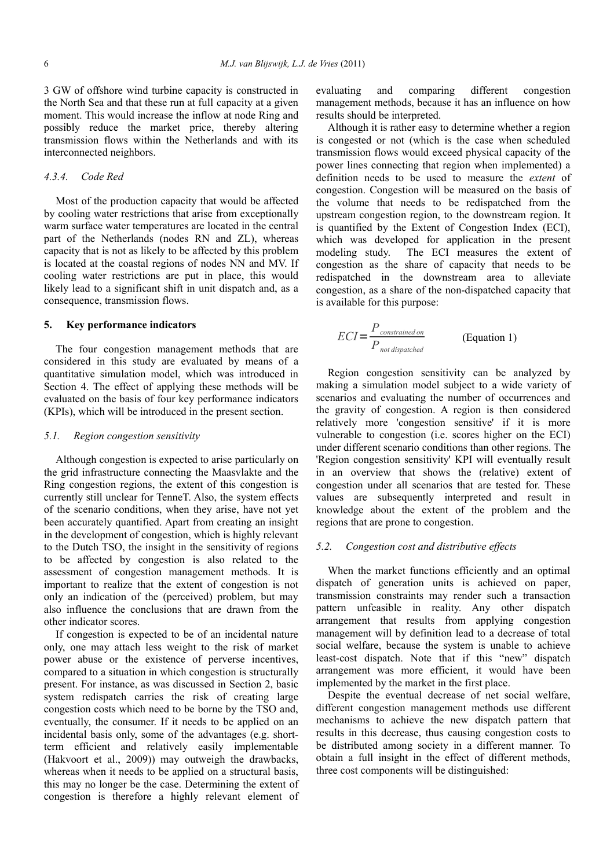3 GW of offshore wind turbine capacity is constructed in the North Sea and that these run at full capacity at a given moment. This would increase the inflow at node Ring and possibly reduce the market price, thereby altering transmission flows within the Netherlands and with its interconnected neighbors.

#### *4.3.4. Code Red*

Most of the production capacity that would be affected by cooling water restrictions that arise from exceptionally warm surface water temperatures are located in the central part of the Netherlands (nodes RN and ZL), whereas capacity that is not as likely to be affected by this problem is located at the coastal regions of nodes NN and MV. If cooling water restrictions are put in place, this would likely lead to a significant shift in unit dispatch and, as a consequence, transmission flows.

## <span id="page-5-0"></span>**5. Key performance indicators**

The four congestion management methods that are considered in this study are evaluated by means of a quantitative simulation model, which was introduced in Section [4.](#page-3-0) The effect of applying these methods will be evaluated on the basis of four key performance indicators (KPIs), which will be introduced in the present section.

#### *5.1. Region congestion sensitivity*

Although congestion is expected to arise particularly on the grid infrastructure connecting the Maasvlakte and the Ring congestion regions, the extent of this congestion is currently still unclear for TenneT. Also, the system effects of the scenario conditions, when they arise, have not yet been accurately quantified. Apart from creating an insight in the development of congestion, which is highly relevant to the Dutch TSO, the insight in the sensitivity of regions to be affected by congestion is also related to the assessment of congestion management methods. It is important to realize that the extent of congestion is not only an indication of the (perceived) problem, but may also influence the conclusions that are drawn from the other indicator scores.

If congestion is expected to be of an incidental nature only, one may attach less weight to the risk of market power abuse or the existence of perverse incentives, compared to a situation in which congestion is structurally present. For instance, as was discussed in Section [2,](#page-1-0) basic system redispatch carries the risk of creating large congestion costs which need to be borne by the TSO and, eventually, the consumer. If it needs to be applied on an incidental basis only, some of the advantages (e.g. shortterm efficient and relatively easily implementable (Hakvoort et al., 2009)) may outweigh the drawbacks, whereas when it needs to be applied on a structural basis, this may no longer be the case. Determining the extent of congestion is therefore a highly relevant element of evaluating and comparing different congestion management methods, because it has an influence on how results should be interpreted.

Although it is rather easy to determine whether a region is congested or not (which is the case when scheduled transmission flows would exceed physical capacity of the power lines connecting that region when implemented) a definition needs to be used to measure the *extent* of congestion. Congestion will be measured on the basis of the volume that needs to be redispatched from the upstream congestion region, to the downstream region. It is quantified by the Extent of Congestion Index (ECI), which was developed for application in the present modeling study. The ECI measures the extent of congestion as the share of capacity that needs to be redispatched in the downstream area to alleviate congestion, as a share of the non-dispatched capacity that is available for this purpose:

$$
ECI = \frac{P_{constrained on}}{P_{not\ distributed}}
$$
 (Equation 1)

Region congestion sensitivity can be analyzed by making a simulation model subject to a wide variety of scenarios and evaluating the number of occurrences and the gravity of congestion. A region is then considered relatively more 'congestion sensitive' if it is more vulnerable to congestion (i.e. scores higher on the ECI) under different scenario conditions than other regions. The 'Region congestion sensitivity' KPI will eventually result in an overview that shows the (relative) extent of congestion under all scenarios that are tested for. These values are subsequently interpreted and result in knowledge about the extent of the problem and the regions that are prone to congestion.

# *5.2. Congestion cost and distributive effects*

When the market functions efficiently and an optimal dispatch of generation units is achieved on paper, transmission constraints may render such a transaction pattern unfeasible in reality. Any other dispatch arrangement that results from applying congestion management will by definition lead to a decrease of total social welfare, because the system is unable to achieve least-cost dispatch. Note that if this "new" dispatch arrangement was more efficient, it would have been implemented by the market in the first place.

Despite the eventual decrease of net social welfare, different congestion management methods use different mechanisms to achieve the new dispatch pattern that results in this decrease, thus causing congestion costs to be distributed among society in a different manner. To obtain a full insight in the effect of different methods, three cost components will be distinguished: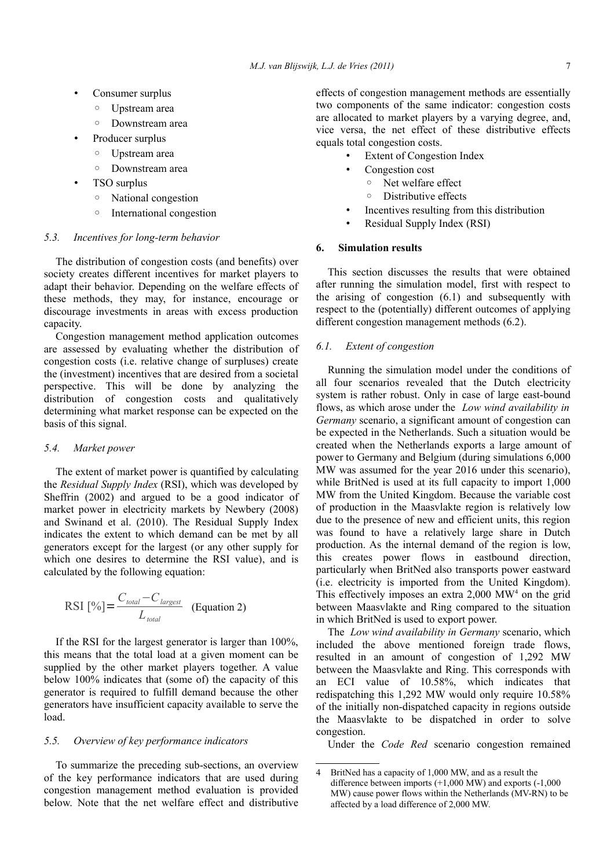- Consumer surplus
	- Upstream area
	- Downstream area
- Producer surplus
	- Upstream area
	- Downstream area
- TSO surplus
	- National congestion
	- International congestion

#### *5.3. Incentives for long-term behavior*

The distribution of congestion costs (and benefits) over society creates different incentives for market players to adapt their behavior. Depending on the welfare effects of these methods, they may, for instance, encourage or discourage investments in areas with excess production capacity.

Congestion management method application outcomes are assessed by evaluating whether the distribution of congestion costs (i.e. relative change of surpluses) create the (investment) incentives that are desired from a societal perspective. This will be done by analyzing the distribution of congestion costs and qualitatively determining what market response can be expected on the basis of this signal.

#### *5.4. Market power*

The extent of market power is quantified by calculating the *Residual Supply Index* (RSI), which was developed by Sheffrin (2002) and argued to be a good indicator of market power in electricity markets by Newbery (2008) and Swinand et al. (2010). The Residual Supply Index indicates the extent to which demand can be met by all generators except for the largest (or any other supply for which one desires to determine the RSI value), and is calculated by the following equation:

$$
RSI [%] = \frac{C_{total} - C_{largest}}{L_{total}}
$$
 (Equation 2)

If the RSI for the largest generator is larger than 100%, this means that the total load at a given moment can be supplied by the other market players together. A value below 100% indicates that (some of) the capacity of this generator is required to fulfill demand because the other generators have insufficient capacity available to serve the load.

# *5.5. Overview of key performance indicators*

To summarize the preceding sub-sections, an overview of the key performance indicators that are used during congestion management method evaluation is provided below. Note that the net welfare effect and distributive

effects of congestion management methods are essentially two components of the same indicator: congestion costs are allocated to market players by a varying degree, and, vice versa, the net effect of these distributive effects equals total congestion costs.

- **Extent of Congestion Index**
- Congestion cost
	- Net welfare effect
	- Distributive effects
- Incentives resulting from this distribution
- <span id="page-6-0"></span>• Residual Supply Index (RSI)

# **6. Simulation results**

This section discusses the results that were obtained after running the simulation model, first with respect to the arising of congestion [\(6.1\)](#page-6-1) and subsequently with respect to the (potentially) different outcomes of applying different congestion management methods [\(6.2\)](#page-7-0).

# <span id="page-6-1"></span>*6.1. Extent of congestion*

Running the simulation model under the conditions of all four scenarios revealed that the Dutch electricity system is rather robust. Only in case of large east-bound flows, as which arose under the *Low wind availability in Germany* scenario, a significant amount of congestion can be expected in the Netherlands. Such a situation would be created when the Netherlands exports a large amount of power to Germany and Belgium (during simulations 6,000 MW was assumed for the year 2016 under this scenario), while BritNed is used at its full capacity to import 1,000 MW from the United Kingdom. Because the variable cost of production in the Maasvlakte region is relatively low due to the presence of new and efficient units, this region was found to have a relatively large share in Dutch production. As the internal demand of the region is low, this creates power flows in eastbound direction, particularly when BritNed also transports power eastward (i.e. electricity is imported from the United Kingdom). This effectively imposes an extra  $2,000$  MW<sup>[4](#page-6-2)</sup> on the grid between Maasvlakte and Ring compared to the situation in which BritNed is used to export power.

The *Low wind availability in Germany* scenario, which included the above mentioned foreign trade flows, resulted in an amount of congestion of 1,292 MW between the Maasvlakte and Ring. This corresponds with an ECI value of 10.58%, which indicates that redispatching this 1,292 MW would only require 10.58% of the initially non-dispatched capacity in regions outside the Maasvlakte to be dispatched in order to solve congestion.

Under the *Code Red* scenario congestion remained

<span id="page-6-2"></span><sup>4</sup> BritNed has a capacity of 1,000 MW, and as a result the difference between imports (+1,000 MW) and exports (-1,000 MW) cause power flows within the Netherlands (MV-RN) to be affected by a load difference of 2,000 MW.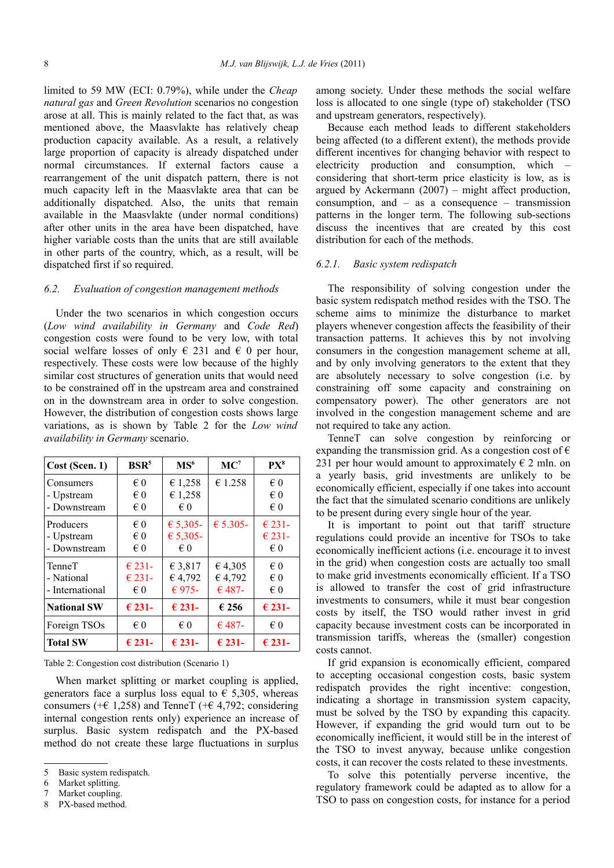limited to 59 MW (ECI: 0.79%), while under the *Cheap natural gas* and *Green Revolution* scenarios no congestion arose at all. This is mainly related to the fact that, as was mentioned above, the Maasvlakte has relatively cheap production capacity available. As a result, a relatively large proportion of capacity is already dispatched under normal circumstances. If external factors cause a rearrangement of the unit dispatch pattern, there is not much capacity left in the Maasvlakte area that can be additionally dispatched. Also, the units that remain available in the Maasvlakte (under normal conditions) after other units in the area have been dispatched, have higher variable costs than the units that are still available in other parts of the country, which, as a result, will be dispatched first if so required.

# <span id="page-7-0"></span>*6.2. Evaluation of congestion management methods*

Under the two scenarios in which congestion occurs (*Low wind availability in Germany* and *Code Red*) congestion costs were found to be very low, with total social welfare losses of only  $\in$  231 and  $\in$  0 per hour, respectively. These costs were low because of the highly similar cost structures of generation units that would need to be constrained off in the upstream area and constrained on in the downstream area in order to solve congestion. However, the distribution of congestion costs shows large variations, as is shown by [Table 2](#page-7-1) for the *Low wind availability in Germany* scenario.

| Cost (Scen. 1)                                 | BSR <sup>5</sup>                        | MS <sup>6</sup>                      | $MC^7$                      | PX <sup>8</sup>                                    |
|------------------------------------------------|-----------------------------------------|--------------------------------------|-----------------------------|----------------------------------------------------|
| Consumers<br>- Upstream<br>- Downstream        | € 0<br>€ 0<br>$\epsilon$ 0              | € 1,258<br>€ 1,258<br>€ 0            | € 1.258                     | $\epsilon$ 0<br>$\epsilon$ 0<br>$\epsilon$ 0       |
| Producers<br>- Upstream<br>- Downstream        | $\epsilon$ 0<br>$\epsilon$ 0<br>$\in 0$ | € 5,305-<br>€ 5,305-<br>$\epsilon$ 0 | € 5.305-                    | $\epsilon$ 231-<br>$\epsilon$ 231-<br>$\epsilon$ 0 |
| <b>TenneT</b><br>- National<br>- International | $€ 231 -$<br>$€ 231 -$<br>$\epsilon$ 0  | € 3,817<br>€4,792<br>€ 975-          | €4,305<br>€4,792<br>$€487-$ | $\epsilon$ 0<br>$\epsilon$ 0<br>$\epsilon$ 0       |
| <b>National SW</b>                             | $\epsilon$ 231-                         | $\epsilon$ 231-                      | €256                        | $\epsilon$ 231-                                    |
| Foreign TSOs                                   | $\epsilon$ 0                            | $\epsilon$ 0                         | $€487-$                     | $\epsilon$ 0                                       |
| <b>Total SW</b>                                | $\epsilon$ 231-                         | $\epsilon$ 231-                      | $\epsilon$ 231-             | $\epsilon$ 231-                                    |

<span id="page-7-1"></span>Table 2: Congestion cost distribution (Scenario 1)

When market splitting or market coupling is applied, generators face a surplus loss equal to  $\epsilon$  5,305, whereas consumers ( $+ \in 1,258$ ) and TenneT ( $+ \in 4,792$ ; considering internal congestion rents only) experience an increase of surplus. Basic system redispatch and the PX-based method do not create these large fluctuations in surplus among society. Under these methods the social welfare loss is allocated to one single (type of) stakeholder (TSO and upstream generators, respectively).

Because each method leads to different stakeholders being affected (to a different extent), the methods provide different incentives for changing behavior with respect to electricity production and consumption, which – considering that short-term price elasticity is low, as is argued by Ackermann  $(2007)$  – might affect production, consumption, and – as a consequence – transmission patterns in the longer term. The following sub-sections discuss the incentives that are created by this cost distribution for each of the methods.

# *6.2.1. Basic system redispatch*

The responsibility of solving congestion under the basic system redispatch method resides with the TSO. The scheme aims to minimize the disturbance to market players whenever congestion affects the feasibility of their transaction patterns. It achieves this by not involving consumers in the congestion management scheme at all, and by only involving generators to the extent that they are absolutely necessary to solve congestion (i.e. by constraining off some capacity and constraining on compensatory power). The other generators are not involved in the congestion management scheme and are not required to take any action.

TenneT can solve congestion by reinforcing or expanding the transmission grid. As a congestion cost of  $\epsilon$ 231 per hour would amount to approximately  $\epsilon$  2 mln. on a yearly basis, grid investments are unlikely to be economically efficient, especially if one takes into account the fact that the simulated scenario conditions are unlikely to be present during every single hour of the year.

It is important to point out that tariff structure regulations could provide an incentive for TSOs to take economically inefficient actions (i.e. encourage it to invest in the grid) when congestion costs are actually too small to make grid investments economically efficient. If a TSO is allowed to transfer the cost of grid infrastructure investments to consumers, while it must bear congestion costs by itself, the TSO would rather invest in grid capacity because investment costs can be incorporated in transmission tariffs, whereas the (smaller) congestion costs cannot.

If grid expansion is economically efficient, compared to accepting occasional congestion costs, basic system redispatch provides the right incentive: congestion, indicating a shortage in transmission system capacity, must be solved by the TSO by expanding this capacity. However, if expanding the grid would turn out to be economically inefficient, it would still be in the interest of the TSO to invest anyway, because unlike congestion costs, it can recover the costs related to these investments.

To solve this potentially perverse incentive, the regulatory framework could be adapted as to allow for a TSO to pass on congestion costs, for instance for a period

<span id="page-7-2"></span><sup>5</sup> Basic system redispatch.

<span id="page-7-3"></span><sup>6</sup> Market splitting.

<span id="page-7-4"></span><sup>7</sup> Market coupling.

<span id="page-7-5"></span>PX-based method.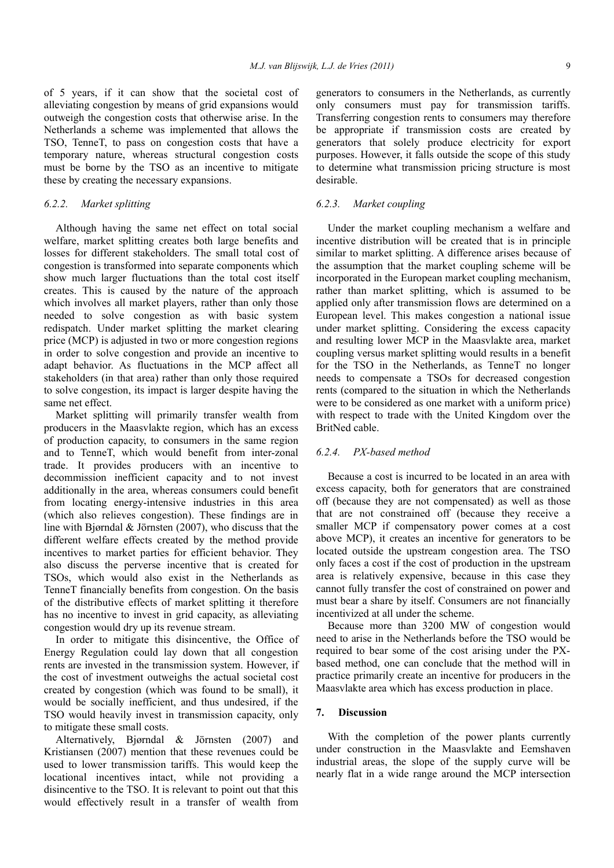of 5 years, if it can show that the societal cost of alleviating congestion by means of grid expansions would outweigh the congestion costs that otherwise arise. In the Netherlands a scheme was implemented that allows the TSO, TenneT, to pass on congestion costs that have a temporary nature, whereas structural congestion costs must be borne by the TSO as an incentive to mitigate these by creating the necessary expansions.

#### *6.2.2. Market splitting*

Although having the same net effect on total social welfare, market splitting creates both large benefits and losses for different stakeholders. The small total cost of congestion is transformed into separate components which show much larger fluctuations than the total cost itself creates. This is caused by the nature of the approach which involves all market players, rather than only those needed to solve congestion as with basic system redispatch. Under market splitting the market clearing price (MCP) is adjusted in two or more congestion regions in order to solve congestion and provide an incentive to adapt behavior. As fluctuations in the MCP affect all stakeholders (in that area) rather than only those required to solve congestion, its impact is larger despite having the same net effect.

Market splitting will primarily transfer wealth from producers in the Maasvlakte region, which has an excess of production capacity, to consumers in the same region and to TenneT, which would benefit from inter-zonal trade. It provides producers with an incentive to decommission inefficient capacity and to not invest additionally in the area, whereas consumers could benefit from locating energy-intensive industries in this area (which also relieves congestion). These findings are in line with Bjørndal & Jörnsten (2007), who discuss that the different welfare effects created by the method provide incentives to market parties for efficient behavior. They also discuss the perverse incentive that is created for TSOs, which would also exist in the Netherlands as TenneT financially benefits from congestion. On the basis of the distributive effects of market splitting it therefore has no incentive to invest in grid capacity, as alleviating congestion would dry up its revenue stream.

In order to mitigate this disincentive, the Office of Energy Regulation could lay down that all congestion rents are invested in the transmission system. However, if the cost of investment outweighs the actual societal cost created by congestion (which was found to be small), it would be socially inefficient, and thus undesired, if the TSO would heavily invest in transmission capacity, only to mitigate these small costs.

Alternatively, Bjørndal & Jörnsten (2007) and Kristiansen (2007) mention that these revenues could be used to lower transmission tariffs. This would keep the locational incentives intact, while not providing a disincentive to the TSO. It is relevant to point out that this would effectively result in a transfer of wealth from generators to consumers in the Netherlands, as currently only consumers must pay for transmission tariffs. Transferring congestion rents to consumers may therefore be appropriate if transmission costs are created by generators that solely produce electricity for export purposes. However, it falls outside the scope of this study to determine what transmission pricing structure is most desirable.

# *6.2.3. Market coupling*

Under the market coupling mechanism a welfare and incentive distribution will be created that is in principle similar to market splitting. A difference arises because of the assumption that the market coupling scheme will be incorporated in the European market coupling mechanism, rather than market splitting, which is assumed to be applied only after transmission flows are determined on a European level. This makes congestion a national issue under market splitting. Considering the excess capacity and resulting lower MCP in the Maasvlakte area, market coupling versus market splitting would results in a benefit for the TSO in the Netherlands, as TenneT no longer needs to compensate a TSOs for decreased congestion rents (compared to the situation in which the Netherlands were to be considered as one market with a uniform price) with respect to trade with the United Kingdom over the BritNed cable.

# *6.2.4. PX-based method*

Because a cost is incurred to be located in an area with excess capacity, both for generators that are constrained off (because they are not compensated) as well as those that are not constrained off (because they receive a smaller MCP if compensatory power comes at a cost above MCP), it creates an incentive for generators to be located outside the upstream congestion area. The TSO only faces a cost if the cost of production in the upstream area is relatively expensive, because in this case they cannot fully transfer the cost of constrained on power and must bear a share by itself. Consumers are not financially incentivized at all under the scheme.

Because more than 3200 MW of congestion would need to arise in the Netherlands before the TSO would be required to bear some of the cost arising under the PXbased method, one can conclude that the method will in practice primarily create an incentive for producers in the Maasvlakte area which has excess production in place.

## <span id="page-8-0"></span>**7. Discussion**

With the completion of the power plants currently under construction in the Maasvlakte and Eemshaven industrial areas, the slope of the supply curve will be nearly flat in a wide range around the MCP intersection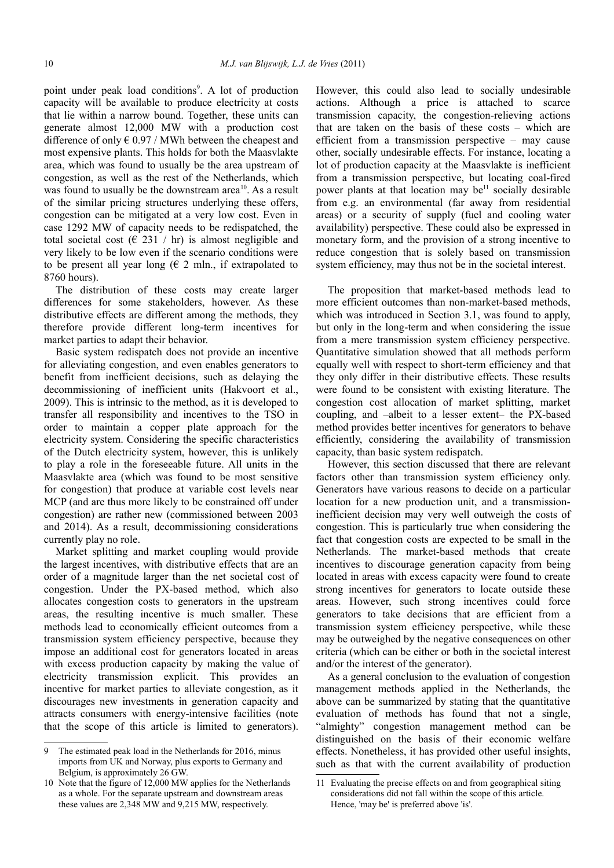point under peak load conditions<sup>[9](#page-9-0)</sup>. A lot of production capacity will be available to produce electricity at costs that lie within a narrow bound. Together, these units can generate almost 12,000 MW with a production cost difference of only  $\epsilon$  0.97 / MWh between the cheapest and most expensive plants. This holds for both the Maasvlakte area, which was found to usually be the area upstream of congestion, as well as the rest of the Netherlands, which was found to usually be the downstream area<sup>[10](#page-9-1)</sup>. As a result of the similar pricing structures underlying these offers, congestion can be mitigated at a very low cost. Even in case 1292 MW of capacity needs to be redispatched, the total societal cost ( $\in$  231 / hr) is almost negligible and very likely to be low even if the scenario conditions were to be present all year long ( $\in$  2 mln., if extrapolated to 8760 hours).

The distribution of these costs may create larger differences for some stakeholders, however. As these distributive effects are different among the methods, they therefore provide different long-term incentives for market parties to adapt their behavior.

Basic system redispatch does not provide an incentive for alleviating congestion, and even enables generators to benefit from inefficient decisions, such as delaying the decommissioning of inefficient units (Hakvoort et al., 2009). This is intrinsic to the method, as it is developed to transfer all responsibility and incentives to the TSO in order to maintain a copper plate approach for the electricity system. Considering the specific characteristics of the Dutch electricity system, however, this is unlikely to play a role in the foreseeable future. All units in the Maasvlakte area (which was found to be most sensitive for congestion) that produce at variable cost levels near MCP (and are thus more likely to be constrained off under congestion) are rather new (commissioned between 2003 and 2014). As a result, decommissioning considerations currently play no role.

Market splitting and market coupling would provide the largest incentives, with distributive effects that are an order of a magnitude larger than the net societal cost of congestion. Under the PX-based method, which also allocates congestion costs to generators in the upstream areas, the resulting incentive is much smaller. These methods lead to economically efficient outcomes from a transmission system efficiency perspective, because they impose an additional cost for generators located in areas with excess production capacity by making the value of electricity transmission explicit. This provides an incentive for market parties to alleviate congestion, as it discourages new investments in generation capacity and attracts consumers with energy-intensive facilities (note that the scope of this article is limited to generators).

However, this could also lead to socially undesirable actions. Although a price is attached to scarce transmission capacity, the congestion-relieving actions that are taken on the basis of these costs – which are efficient from a transmission perspective – may cause other, socially undesirable effects. For instance, locating a lot of production capacity at the Maasvlakte is inefficient from a transmission perspective, but locating coal-fired power plants at that location may be<sup>[11](#page-9-2)</sup> socially desirable from e.g. an environmental (far away from residential areas) or a security of supply (fuel and cooling water availability) perspective. These could also be expressed in monetary form, and the provision of a strong incentive to reduce congestion that is solely based on transmission system efficiency, may thus not be in the societal interest.

The proposition that market-based methods lead to more efficient outcomes than non-market-based methods, which was introduced in Section [3.1,](#page-2-2) was found to apply, but only in the long-term and when considering the issue from a mere transmission system efficiency perspective. Quantitative simulation showed that all methods perform equally well with respect to short-term efficiency and that they only differ in their distributive effects. These results were found to be consistent with existing literature. The congestion cost allocation of market splitting, market coupling, and –albeit to a lesser extent– the PX-based method provides better incentives for generators to behave efficiently, considering the availability of transmission capacity, than basic system redispatch.

However, this section discussed that there are relevant factors other than transmission system efficiency only. Generators have various reasons to decide on a particular location for a new production unit, and a transmissioninefficient decision may very well outweigh the costs of congestion. This is particularly true when considering the fact that congestion costs are expected to be small in the Netherlands. The market-based methods that create incentives to discourage generation capacity from being located in areas with excess capacity were found to create strong incentives for generators to locate outside these areas. However, such strong incentives could force generators to take decisions that are efficient from a transmission system efficiency perspective, while these may be outweighed by the negative consequences on other criteria (which can be either or both in the societal interest and/or the interest of the generator).

As a general conclusion to the evaluation of congestion management methods applied in the Netherlands, the above can be summarized by stating that the quantitative evaluation of methods has found that not a single, "almighty" congestion management method can be distinguished on the basis of their economic welfare effects. Nonetheless, it has provided other useful insights, such as that with the current availability of production

<span id="page-9-0"></span><sup>9</sup> The estimated peak load in the Netherlands for 2016, minus imports from UK and Norway, plus exports to Germany and Belgium, is approximately 26 GW.

<span id="page-9-1"></span><sup>10</sup> Note that the figure of 12,000 MW applies for the Netherlands as a whole. For the separate upstream and downstream areas these values are 2,348 MW and 9,215 MW, respectively.

<span id="page-9-2"></span><sup>11</sup> Evaluating the precise effects on and from geographical siting considerations did not fall within the scope of this article. Hence, 'may be' is preferred above 'is'.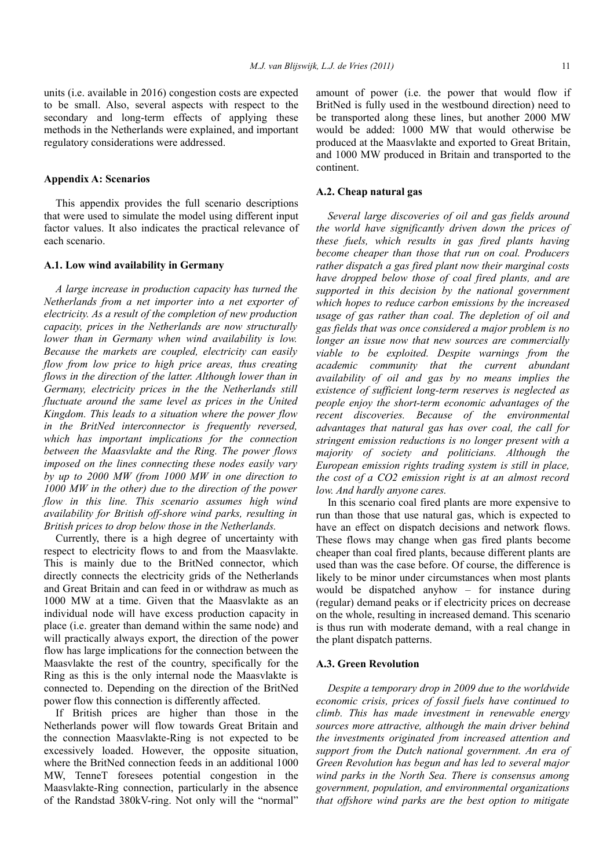units (i.e. available in 2016) congestion costs are expected to be small. Also, several aspects with respect to the secondary and long-term effects of applying these methods in the Netherlands were explained, and important regulatory considerations were addressed.

#### **Appendix A: Scenarios**

This appendix provides the full scenario descriptions that were used to simulate the model using different input factor values. It also indicates the practical relevance of each scenario.

#### **A.1. Low wind availability in Germany**

*A large increase in production capacity has turned the Netherlands from a net importer into a net exporter of electricity. As a result of the completion of new production capacity, prices in the Netherlands are now structurally lower than in Germany when wind availability is low. Because the markets are coupled, electricity can easily flow from low price to high price areas, thus creating flows in the direction of the latter. Although lower than in Germany, electricity prices in the the Netherlands still fluctuate around the same level as prices in the United Kingdom. This leads to a situation where the power flow in the BritNed interconnector is frequently reversed, which has important implications for the connection between the Maasvlakte and the Ring. The power flows imposed on the lines connecting these nodes easily vary by up to 2000 MW (from 1000 MW in one direction to 1000 MW in the other) due to the direction of the power flow in this line. This scenario assumes high wind availability for British off-shore wind parks, resulting in British prices to drop below those in the Netherlands.*

Currently, there is a high degree of uncertainty with respect to electricity flows to and from the Maasvlakte. This is mainly due to the BritNed connector, which directly connects the electricity grids of the Netherlands and Great Britain and can feed in or withdraw as much as 1000 MW at a time. Given that the Maasvlakte as an individual node will have excess production capacity in place (i.e. greater than demand within the same node) and will practically always export, the direction of the power flow has large implications for the connection between the Maasvlakte the rest of the country, specifically for the Ring as this is the only internal node the Maasvlakte is connected to. Depending on the direction of the BritNed power flow this connection is differently affected.

If British prices are higher than those in the Netherlands power will flow towards Great Britain and the connection Maasvlakte-Ring is not expected to be excessively loaded. However, the opposite situation, where the BritNed connection feeds in an additional 1000 MW, TenneT foresees potential congestion in the Maasvlakte-Ring connection, particularly in the absence of the Randstad 380kV-ring. Not only will the "normal" amount of power (i.e. the power that would flow if BritNed is fully used in the westbound direction) need to be transported along these lines, but another 2000 MW would be added: 1000 MW that would otherwise be produced at the Maasvlakte and exported to Great Britain, and 1000 MW produced in Britain and transported to the continent.

#### **A.2. Cheap natural gas**

*Several large discoveries of oil and gas fields around the world have significantly driven down the prices of these fuels, which results in gas fired plants having become cheaper than those that run on coal. Producers rather dispatch a gas fired plant now their marginal costs have dropped below those of coal fired plants, and are supported in this decision by the national government which hopes to reduce carbon emissions by the increased usage of gas rather than coal. The depletion of oil and gas fields that was once considered a major problem is no longer an issue now that new sources are commercially viable to be exploited. Despite warnings from the academic community that the current abundant availability of oil and gas by no means implies the existence of sufficient long-term reserves is neglected as people enjoy the short-term economic advantages of the recent discoveries. Because of the environmental advantages that natural gas has over coal, the call for stringent emission reductions is no longer present with a majority of society and politicians. Although the European emission rights trading system is still in place, the cost of a CO2 emission right is at an almost record low. And hardly anyone cares.*

In this scenario coal fired plants are more expensive to run than those that use natural gas, which is expected to have an effect on dispatch decisions and network flows. These flows may change when gas fired plants become cheaper than coal fired plants, because different plants are used than was the case before. Of course, the difference is likely to be minor under circumstances when most plants would be dispatched anyhow – for instance during (regular) demand peaks or if electricity prices on decrease on the whole, resulting in increased demand. This scenario is thus run with moderate demand, with a real change in the plant dispatch patterns.

#### **A.3. Green Revolution**

*Despite a temporary drop in 2009 due to the worldwide economic crisis, prices of fossil fuels have continued to climb. This has made investment in renewable energy sources more attractive, although the main driver behind the investments originated from increased attention and support from the Dutch national government. An era of Green Revolution has begun and has led to several major wind parks in the North Sea. There is consensus among government, population, and environmental organizations that offshore wind parks are the best option to mitigate*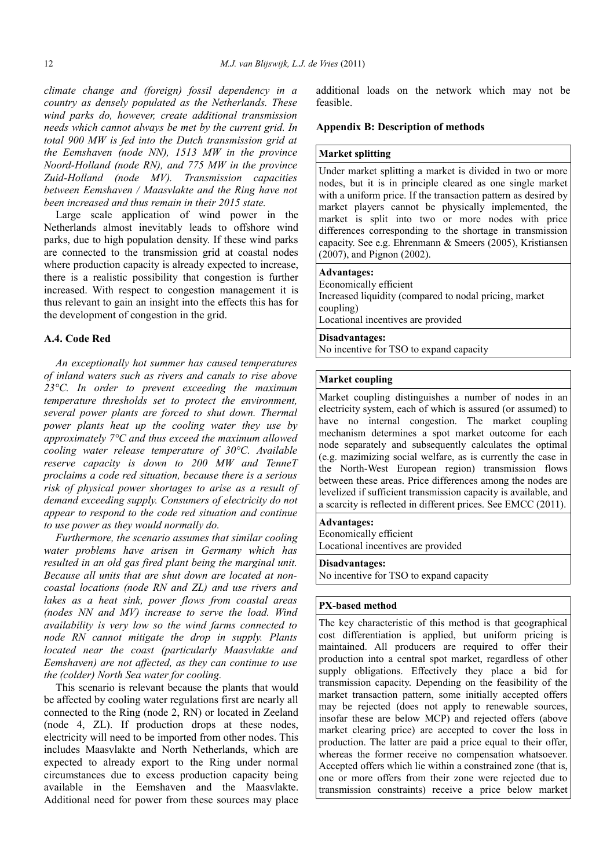*climate change and (foreign) fossil dependency in a country as densely populated as the Netherlands. These wind parks do, however, create additional transmission needs which cannot always be met by the current grid. In total 900 MW is fed into the Dutch transmission grid at the Eemshaven (node NN), 1513 MW in the province Noord-Holland (node RN), and 775 MW in the province Zuid-Holland (node MV). Transmission capacities between Eemshaven / Maasvlakte and the Ring have not been increased and thus remain in their 2015 state.*

Large scale application of wind power in the Netherlands almost inevitably leads to offshore wind parks, due to high population density. If these wind parks are connected to the transmission grid at coastal nodes where production capacity is already expected to increase, there is a realistic possibility that congestion is further increased. With respect to congestion management it is thus relevant to gain an insight into the effects this has for the development of congestion in the grid.

# **A.4. Code Red**

*An exceptionally hot summer has caused temperatures of inland waters such as rivers and canals to rise above 23°C. In order to prevent exceeding the maximum temperature thresholds set to protect the environment, several power plants are forced to shut down. Thermal power plants heat up the cooling water they use by approximately 7°C and thus exceed the maximum allowed cooling water release temperature of 30°C. Available reserve capacity is down to 200 MW and TenneT proclaims a code red situation, because there is a serious risk of physical power shortages to arise as a result of demand exceeding supply. Consumers of electricity do not appear to respond to the code red situation and continue to use power as they would normally do.*

*Furthermore, the scenario assumes that similar cooling water problems have arisen in Germany which has resulted in an old gas fired plant being the marginal unit. Because all units that are shut down are located at noncoastal locations (node RN and ZL) and use rivers and lakes as a heat sink, power flows from coastal areas (nodes NN and MV) increase to serve the load. Wind availability is very low so the wind farms connected to node RN cannot mitigate the drop in supply. Plants located near the coast (particularly Maasvlakte and Eemshaven) are not affected, as they can continue to use the (colder) North Sea water for cooling.*

This scenario is relevant because the plants that would be affected by cooling water regulations first are nearly all connected to the Ring (node 2, RN) or located in Zeeland (node 4, ZL). If production drops at these nodes, electricity will need to be imported from other nodes. This includes Maasvlakte and North Netherlands, which are expected to already export to the Ring under normal circumstances due to excess production capacity being available in the Eemshaven and the Maasvlakte. Additional need for power from these sources may place

additional loads on the network which may not be feasible.

## **Appendix B: Description of methods**

# **Market splitting**

Under market splitting a market is divided in two or more nodes, but it is in principle cleared as one single market with a uniform price. If the transaction pattern as desired by market players cannot be physically implemented, the market is split into two or more nodes with price differences corresponding to the shortage in transmission capacity. See e.g. Ehrenmann & Smeers (2005), Kristiansen (2007), and Pignon (2002).

## **Advantages:**

Economically efficient Increased liquidity (compared to nodal pricing, market coupling) Locational incentives are provided

# **Disadvantages:**

No incentive for TSO to expand capacity

# **Market coupling**

Market coupling distinguishes a number of nodes in an electricity system, each of which is assured (or assumed) to have no internal congestion. The market coupling mechanism determines a spot market outcome for each node separately and subsequently calculates the optimal (e.g. mazimizing social welfare, as is currently the case in the North-West European region) transmission flows between these areas. Price differences among the nodes are levelized if sufficient transmission capacity is available, and a scarcity is reflected in different prices. See EMCC (2011).

#### **Advantages:**

Economically efficient Locational incentives are provided

#### **Disadvantages:**

No incentive for TSO to expand capacity

# **PX-based method**

The key characteristic of this method is that geographical cost differentiation is applied, but uniform pricing is maintained. All producers are required to offer their production into a central spot market, regardless of other supply obligations. Effectively they place a bid for transmission capacity. Depending on the feasibility of the market transaction pattern, some initially accepted offers may be rejected (does not apply to renewable sources, insofar these are below MCP) and rejected offers (above market clearing price) are accepted to cover the loss in production. The latter are paid a price equal to their offer, whereas the former receive no compensation whatsoever. Accepted offers which lie within a constrained zone (that is, one or more offers from their zone were rejected due to transmission constraints) receive a price below market